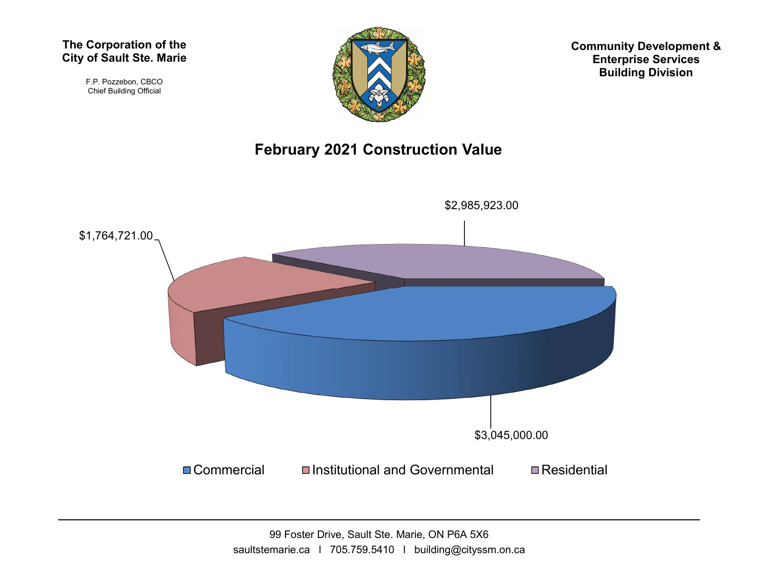F.P. Pozzebon, CBCO Chief Building Official



Community Development & Enterprise Services Building Division

## February 2021 Construction Value



99 Foster Drive, Sault Ste. Marie, ON P6A 5X6 saultstemarie.ca | 705.759.5410 | building@cityssm.on.ca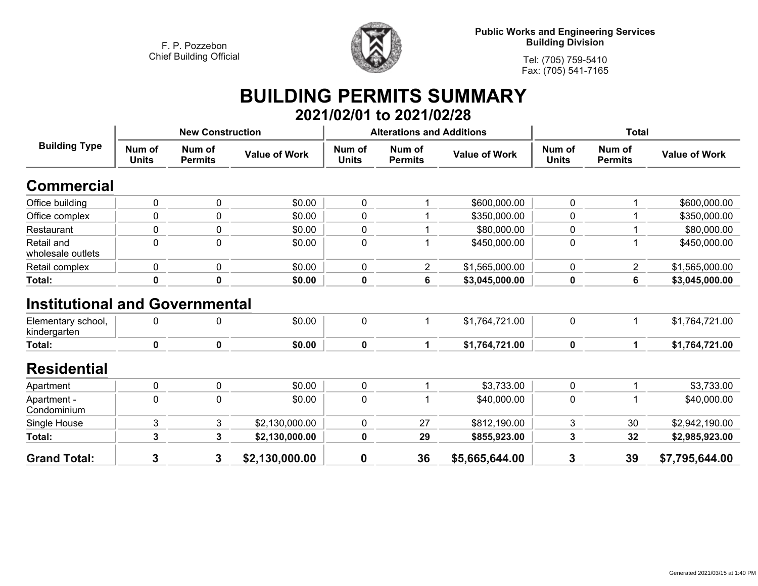

**Public Works and Engineering Services Building Division**

**Tel: (705) 759-5410 Fax: (705) 541-7165**

## **BUILDING PERMITS SUMMARY 2021/02/01 to 2021/02/28**

|                                                                             |                        | <b>New Construction</b>  |                      |                        | <b>Alterations and Additions</b> |                      | <b>Total</b>           |                          |                      |
|-----------------------------------------------------------------------------|------------------------|--------------------------|----------------------|------------------------|----------------------------------|----------------------|------------------------|--------------------------|----------------------|
| <b>Building Type</b>                                                        | Num of<br><b>Units</b> | Num of<br><b>Permits</b> | <b>Value of Work</b> | Num of<br><b>Units</b> | Num of<br><b>Permits</b>         | <b>Value of Work</b> | Num of<br><b>Units</b> | Num of<br><b>Permits</b> | <b>Value of Work</b> |
| Commercial                                                                  |                        |                          |                      |                        |                                  |                      |                        |                          |                      |
| Office building                                                             | $\pmb{0}$              | 0                        | \$0.00               | $\mathbf 0$            |                                  | \$600,000.00         | 0                      |                          | \$600,000.00         |
| Office complex                                                              | 0                      | 0                        | \$0.00               | $\mathbf 0$            |                                  | \$350,000.00         | 0                      |                          | \$350,000.00         |
| Restaurant                                                                  | 0                      | 0                        | \$0.00               | $\pmb{0}$              |                                  | \$80,000.00          | 0                      |                          | \$80,000.00          |
| Retail and<br>wholesale outlets                                             | $\Omega$               | 0                        | \$0.00               | $\mathbf 0$            |                                  | \$450,000.00         | 0                      | -1                       | \$450,000.00         |
| Retail complex                                                              | 0                      | 0                        | \$0.00               | $\mathbf 0$            | $\overline{2}$                   | \$1,565,000.00       | 0                      | $\overline{2}$           | \$1,565,000.00       |
| Total:                                                                      | 0                      | 0                        | \$0.00               | 0                      | 6                                | \$3,045,000.00       | 0                      | 6                        | \$3,045,000.00       |
| <b>Institutional and Governmental</b><br>Elementary school,<br>kindergarten | 0                      | 0                        | \$0.00               | $\mathbf 0$            |                                  | \$1,764,721.00       | 0                      | -1                       | \$1,764,721.00       |
| <b>Total:</b>                                                               | $\mathbf 0$            | 0                        | \$0.00               | $\mathbf 0$            | 1                                | \$1,764,721.00       | $\mathbf 0$            | 1                        | \$1,764,721.00       |
| <b>Residential</b>                                                          |                        |                          |                      |                        |                                  |                      |                        |                          |                      |
| Apartment                                                                   | $\mathbf 0$            | 0                        | \$0.00               | $\mathbf 0$            |                                  | \$3,733.00           | 0                      |                          | \$3,733.00           |
| Apartment -<br>Condominium                                                  | 0                      | 0                        | \$0.00               | $\pmb{0}$              |                                  | \$40,000.00          | 0                      | -1                       | \$40,000.00          |
| Single House                                                                | 3                      | 3                        | \$2,130,000.00       | $\mathbf 0$            | 27                               | \$812,190.00         | 3                      | 30                       | \$2,942,190.00       |
| Total:                                                                      | 3                      | 3                        | \$2,130,000.00       | 0                      | 29                               | \$855,923.00         | 3                      | 32                       | \$2,985,923.00       |
| <b>Grand Total:</b>                                                         | 3                      | 3                        | \$2,130,000.00       | $\mathbf 0$            | 36                               | \$5,665,644.00       | 3                      | 39                       | \$7,795,644.00       |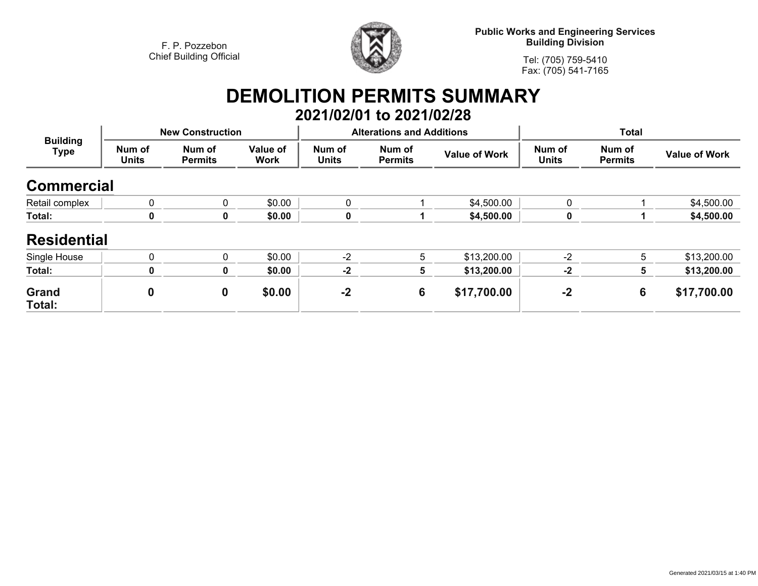

**Public Works and Engineering Services Building Division**

**Tel: (705) 759-5410Fax: (705) 541-7165**

## **DEMOLITION PERMITS SUMMARY 2021/02/01 to 2021/02/28**

| <b>Building</b><br>Type | <b>New Construction</b> |                          |                         |                        | <b>Alterations and Additions</b> |                      | <b>Total</b>           |                          |                      |
|-------------------------|-------------------------|--------------------------|-------------------------|------------------------|----------------------------------|----------------------|------------------------|--------------------------|----------------------|
|                         | Num of<br><b>Units</b>  | Num of<br><b>Permits</b> | Value of<br><b>Work</b> | Num of<br><b>Units</b> | Num of<br><b>Permits</b>         | <b>Value of Work</b> | Num of<br><b>Units</b> | Num of<br><b>Permits</b> | <b>Value of Work</b> |
| <b>Commercial</b>       |                         |                          |                         |                        |                                  |                      |                        |                          |                      |
| Retail complex          | $\mathbf 0$             | 0                        | \$0.00                  | $\Omega$               |                                  | \$4,500.00           | 0                      |                          | \$4,500.00           |
| Total:                  | 0                       | 0                        | \$0.00                  | 0                      |                                  | \$4,500.00           | 0                      |                          | \$4,500.00           |
| <b>Residential</b>      |                         |                          |                         |                        |                                  |                      |                        |                          |                      |
| Single House            | $\mathbf{0}$            | $\Omega$                 | \$0.00                  | $-2$                   | 5                                | \$13,200.00          | $-2$                   | 5                        | \$13,200.00          |
| Total:                  | 0                       | 0                        | \$0.00                  | $-2$                   | 5                                | \$13,200.00          | $-2$                   | 5.                       | \$13,200.00          |
| Grand<br>Total:         | $\boldsymbol{0}$        | 0                        | \$0.00                  | $-2$                   | 6                                | \$17,700.00          | $-2$                   | 6                        | \$17,700.00          |